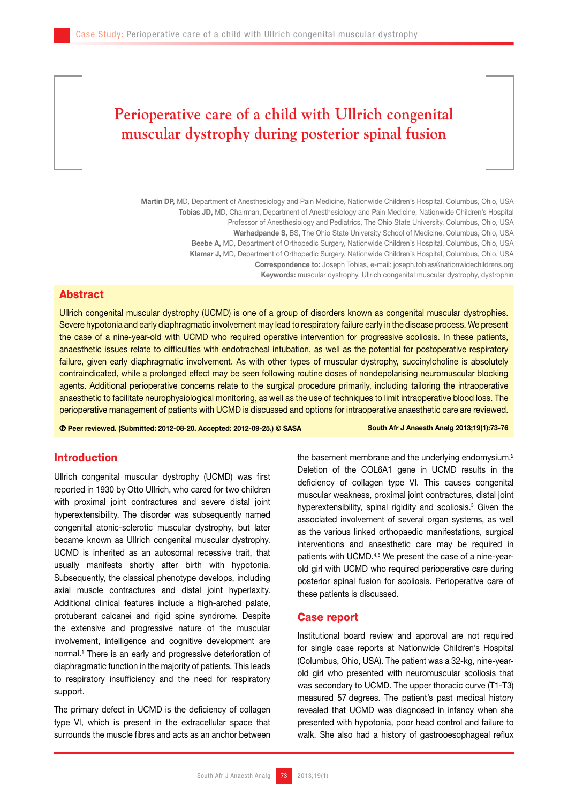# **Perioperative care of a child with Ullrich congenital muscular dystrophy during posterior spinal fusion**

Martin DP, MD, Department of Anesthesiology and Pain Medicine, Nationwide Children's Hospital, Columbus, Ohio, USA Tobias JD, MD, Chairman, Department of Anesthesiology and Pain Medicine, Nationwide Children's Hospital Professor of Anesthesiology and Pediatrics, The Ohio State University, Columbus, Ohio, USA Warhadpande S, BS, The Ohio State University School of Medicine, Columbus, Ohio, USA Beebe A, MD, Department of Orthopedic Surgery, Nationwide Children's Hospital, Columbus, Ohio, USA Klamar J, MD, Department of Orthopedic Surgery, Nationwide Children's Hospital, Columbus, Ohio, USA Correspondence to: Joseph Tobias, e-mail: joseph.tobias@nationwidechildrens.org Keywords: muscular dystrophy, Ullrich congenital muscular dystrophy, dystrophin

## Abstract

Ullrich congenital muscular dystrophy (UCMD) is one of a group of disorders known as congenital muscular dystrophies. Severe hypotonia and early diaphragmatic involvement may lead to respiratory failure early in the disease process. We present the case of a nine-year-old with UCMD who required operative intervention for progressive scoliosis. In these patients, anaesthetic issues relate to difficulties with endotracheal intubation, as well as the potential for postoperative respiratory failure, given early diaphragmatic involvement. As with other types of muscular dystrophy, succinylcholine is absolutely contraindicated, while a prolonged effect may be seen following routine doses of nondepolarising neuromuscular blocking agents. Additional perioperative concerns relate to the surgical procedure primarily, including tailoring the intraoperative anaesthetic to facilitate neurophysiological monitoring, as well as the use of techniques to limit intraoperative blood loss. The perioperative management of patients with UCMD is discussed and options for intraoperative anaesthetic care are reviewed.

Peer reviewed. (Submitted: 2012-08-20. Accepted: 2012-09-25.) © SASA South Afr J Anaesth Analg 2013;19(1):73-76

# Introduction

Ullrich congenital muscular dystrophy (UCMD) was first reported in 1930 by Otto Ullrich, who cared for two children with proximal joint contractures and severe distal joint hyperextensibility. The disorder was subsequently named congenital atonic-sclerotic muscular dystrophy, but later became known as Ullrich congenital muscular dystrophy. UCMD is inherited as an autosomal recessive trait, that usually manifests shortly after birth with hypotonia. Subsequently, the classical phenotype develops, including axial muscle contractures and distal joint hyperlaxity. Additional clinical features include a high-arched palate, protuberant calcanei and rigid spine syndrome. Despite the extensive and progressive nature of the muscular involvement, intelligence and cognitive development are normal.1 There is an early and progressive deterioration of diaphragmatic function in the majority of patients. This leads to respiratory insufficiency and the need for respiratory support.

The primary defect in UCMD is the deficiency of collagen type VI, which is present in the extracellular space that surrounds the muscle fibres and acts as an anchor between the basement membrane and the underlying endomysium.<sup>2</sup> Deletion of the COL6A1 gene in UCMD results in the deficiency of collagen type VI. This causes congenital muscular weakness, proximal joint contractures, distal joint hyperextensibility, spinal rigidity and scoliosis.<sup>3</sup> Given the associated involvement of several organ systems, as well as the various linked orthopaedic manifestations, surgical interventions and anaesthetic care may be required in patients with UCMD.<sup>4,5</sup> We present the case of a nine-yearold girl with UCMD who required perioperative care during posterior spinal fusion for scoliosis. Perioperative care of these patients is discussed.

#### Case report

Institutional board review and approval are not required for single case reports at Nationwide Children's Hospital (Columbus, Ohio, USA). The patient was a 32-kg, nine-yearold girl who presented with neuromuscular scoliosis that was secondary to UCMD. The upper thoracic curve (T1-T3) measured 57 degrees. The patient's past medical history revealed that UCMD was diagnosed in infancy when she presented with hypotonia, poor head control and failure to walk. She also had a history of gastrooesophageal reflux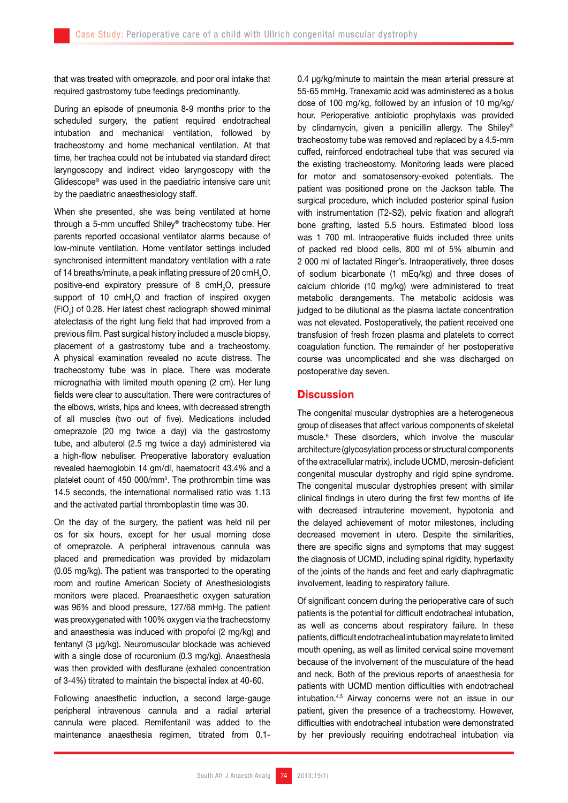that was treated with omeprazole, and poor oral intake that required gastrostomy tube feedings predominantly.

During an episode of pneumonia 8-9 months prior to the scheduled surgery, the patient required endotracheal intubation and mechanical ventilation, followed by tracheostomy and home mechanical ventilation. At that time, her trachea could not be intubated via standard direct laryngoscopy and indirect video laryngoscopy with the Glidescope® was used in the paediatric intensive care unit by the paediatric anaesthesiology staff.

When she presented, she was being ventilated at home through a 5-mm uncuffed Shiley® tracheostomy tube. Her parents reported occasional ventilator alarms because of low-minute ventilation. Home ventilator settings included synchronised intermittent mandatory ventilation with a rate of 14 breaths/minute, a peak inflating pressure of 20  $\mathsf{cmH}_\mathrm{_2} \mathsf{O},$ positive-end expiratory pressure of 8  $\text{cmH}_{2}$ O, pressure support of 10  $\text{cmH}_{2}$ O and fraction of inspired oxygen (FiO<sub>2</sub>) of 0.28. Her latest chest radiograph showed minimal atelectasis of the right lung field that had improved from a previous film. Past surgical history included a muscle biopsy, placement of a gastrostomy tube and a tracheostomy. A physical examination revealed no acute distress. The tracheostomy tube was in place. There was moderate micrognathia with limited mouth opening (2 cm). Her lung fields were clear to auscultation. There were contractures of the elbows, wrists, hips and knees, with decreased strength of all muscles (two out of five). Medications included omeprazole (20 mg twice a day) via the gastrostomy tube, and albuterol (2.5 mg twice a day) administered via a high-flow nebuliser. Preoperative laboratory evaluation revealed haemoglobin 14 gm/dl, haematocrit 43.4% and a platelet count of 450 000/mm<sup>3</sup>. The prothrombin time was 14.5 seconds, the international normalised ratio was 1.13 and the activated partial thromboplastin time was 30.

On the day of the surgery, the patient was held nil per os for six hours, except for her usual morning dose of omeprazole. A peripheral intravenous cannula was placed and premedication was provided by midazolam (0.05 mg/kg). The patient was transported to the operating room and routine American Society of Anesthesiologists monitors were placed. Preanaesthetic oxygen saturation was 96% and blood pressure, 127/68 mmHg. The patient was preoxygenated with 100% oxygen via the tracheostomy and anaesthesia was induced with propofol (2 mg/kg) and fentanyl (3 µg/kg). Neuromuscular blockade was achieved with a single dose of rocuronium (0.3 mg/kg). Anaesthesia was then provided with desflurane (exhaled concentration of 3-4%) titrated to maintain the bispectal index at 40-60.

Following anaesthetic induction, a second large-gauge peripheral intravenous cannula and a radial arterial cannula were placed. Remifentanil was added to the maintenance anaesthesia regimen, titrated from 0.10.4 µg/kg/minute to maintain the mean arterial pressure at 55-65 mmHg. Tranexamic acid was administered as a bolus dose of 100 mg/kg, followed by an infusion of 10 mg/kg/ hour. Perioperative antibiotic prophylaxis was provided by clindamycin, given a penicillin allergy. The Shiley® tracheostomy tube was removed and replaced by a 4.5-mm cuffed, reinforced endotracheal tube that was secured via the existing tracheostomy. Monitoring leads were placed for motor and somatosensory-evoked potentials. The patient was positioned prone on the Jackson table. The surgical procedure, which included posterior spinal fusion with instrumentation (T2-S2), pelvic fixation and allograft bone grafting, lasted 5.5 hours. Estimated blood loss was 1 700 ml. Intraoperative fluids included three units of packed red blood cells, 800 ml of 5% albumin and 2 000 ml of lactated Ringer's. Intraoperatively, three doses of sodium bicarbonate (1 mEq/kg) and three doses of calcium chloride (10 mg/kg) were administered to treat metabolic derangements. The metabolic acidosis was judged to be dilutional as the plasma lactate concentration was not elevated. Postoperatively, the patient received one transfusion of fresh frozen plasma and platelets to correct coagulation function. The remainder of her postoperative course was uncomplicated and she was discharged on postoperative day seven.

# **Discussion**

The congenital muscular dystrophies are a heterogeneous group of diseases that affect various components of skeletal muscle.6 These disorders, which involve the muscular architecture (glycosylation process or structural components of the extracellular matrix), include UCMD, merosin-deficient congenital muscular dystrophy and rigid spine syndrome. The congenital muscular dystrophies present with similar clinical findings in utero during the first few months of life with decreased intrauterine movement, hypotonia and the delayed achievement of motor milestones, including decreased movement in utero. Despite the similarities, there are specific signs and symptoms that may suggest the diagnosis of UCMD, including spinal rigidity, hyperlaxity of the joints of the hands and feet and early diaphragmatic involvement, leading to respiratory failure.

Of significant concern during the perioperative care of such patients is the potential for difficult endotracheal intubation, as well as concerns about respiratory failure. In these patients, difficult endotracheal intubation may relate to limited mouth opening, as well as limited cervical spine movement because of the involvement of the musculature of the head and neck. Both of the previous reports of anaesthesia for patients with UCMD mention difficulties with endotracheal intubation.4,5 Airway concerns were not an issue in our patient, given the presence of a tracheostomy. However, difficulties with endotracheal intubation were demonstrated by her previously requiring endotracheal intubation via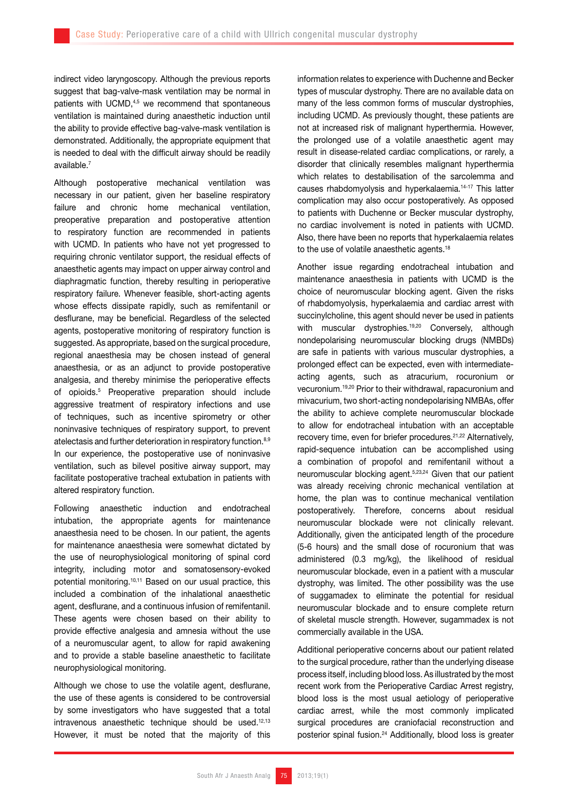indirect video laryngoscopy. Although the previous reports suggest that bag-valve-mask ventilation may be normal in patients with UCMD.<sup>4,5</sup> we recommend that spontaneous ventilation is maintained during anaesthetic induction until the ability to provide effective bag-valve-mask ventilation is demonstrated. Additionally, the appropriate equipment that is needed to deal with the difficult airway should be readily available.7

Although postoperative mechanical ventilation was necessary in our patient, given her baseline respiratory failure and chronic home mechanical ventilation, preoperative preparation and postoperative attention to respiratory function are recommended in patients with UCMD. In patients who have not yet progressed to requiring chronic ventilator support, the residual effects of anaesthetic agents may impact on upper airway control and diaphragmatic function, thereby resulting in perioperative respiratory failure. Whenever feasible, short-acting agents whose effects dissipate rapidly, such as remifentanil or desflurane, may be beneficial. Regardless of the selected agents, postoperative monitoring of respiratory function is suggested. As appropriate, based on the surgical procedure, regional anaesthesia may be chosen instead of general anaesthesia, or as an adjunct to provide postoperative analgesia, and thereby minimise the perioperative effects of opioids.5 Preoperative preparation should include aggressive treatment of respiratory infections and use of techniques, such as incentive spirometry or other noninvasive techniques of respiratory support, to prevent atelectasis and further deterioration in respiratory function.<sup>8,9</sup> In our experience, the postoperative use of noninvasive ventilation, such as bilevel positive airway support, may facilitate postoperative tracheal extubation in patients with altered respiratory function.

Following anaesthetic induction and endotracheal intubation, the appropriate agents for maintenance anaesthesia need to be chosen. In our patient, the agents for maintenance anaesthesia were somewhat dictated by the use of neurophysiological monitoring of spinal cord integrity, including motor and somatosensory-evoked potential monitoring.10,11 Based on our usual practice, this included a combination of the inhalational anaesthetic agent, desflurane, and a continuous infusion of remifentanil. These agents were chosen based on their ability to provide effective analgesia and amnesia without the use of a neuromuscular agent, to allow for rapid awakening and to provide a stable baseline anaesthetic to facilitate neurophysiological monitoring.

Although we chose to use the volatile agent, desflurane, the use of these agents is considered to be controversial by some investigators who have suggested that a total intravenous anaesthetic technique should be used.<sup>12,13</sup> However, it must be noted that the majority of this information relates to experience with Duchenne and Becker types of muscular dystrophy. There are no available data on many of the less common forms of muscular dystrophies, including UCMD. As previously thought, these patients are not at increased risk of malignant hyperthermia. However, the prolonged use of a volatile anaesthetic agent may result in disease-related cardiac complications, or rarely, a disorder that clinically resembles malignant hyperthermia which relates to destabilisation of the sarcolemma and causes rhabdomyolysis and hyperkalaemia.14-17 This latter complication may also occur postoperatively. As opposed to patients with Duchenne or Becker muscular dystrophy, no cardiac involvement is noted in patients with UCMD. Also, there have been no reports that hyperkalaemia relates to the use of volatile anaesthetic agents.<sup>18</sup>

Another issue regarding endotracheal intubation and maintenance anaesthesia in patients with UCMD is the choice of neuromuscular blocking agent. Given the risks of rhabdomyolysis, hyperkalaemia and cardiac arrest with succinylcholine, this agent should never be used in patients with muscular dystrophies.<sup>19,20</sup> Conversely, although nondepolarising neuromuscular blocking drugs (NMBDs) are safe in patients with various muscular dystrophies, a prolonged effect can be expected, even with intermediateacting agents, such as atracurium, rocuronium or vecuronium.19,20 Prior to their withdrawal, rapacuronium and mivacurium, two short-acting nondepolarising NMBAs, offer the ability to achieve complete neuromuscular blockade to allow for endotracheal intubation with an acceptable recovery time, even for briefer procedures.<sup>21,22</sup> Alternatively, rapid-sequence intubation can be accomplished using a combination of propofol and remifentanil without a neuromuscular blocking agent.5,23,24 Given that our patient was already receiving chronic mechanical ventilation at home, the plan was to continue mechanical ventilation postoperatively. Therefore, concerns about residual neuromuscular blockade were not clinically relevant. Additionally, given the anticipated length of the procedure (5-6 hours) and the small dose of rocuronium that was administered (0.3 mg/kg), the likelihood of residual neuromuscular blockade, even in a patient with a muscular dystrophy, was limited. The other possibility was the use of suggamadex to eliminate the potential for residual neuromuscular blockade and to ensure complete return of skeletal muscle strength. However, sugammadex is not commercially available in the USA.

Additional perioperative concerns about our patient related to the surgical procedure, rather than the underlying disease process itself, including blood loss. As illustrated by the most recent work from the Perioperative Cardiac Arrest registry, blood loss is the most usual aetiology of perioperative cardiac arrest, while the most commonly implicated surgical procedures are craniofacial reconstruction and posterior spinal fusion.24 Additionally, blood loss is greater